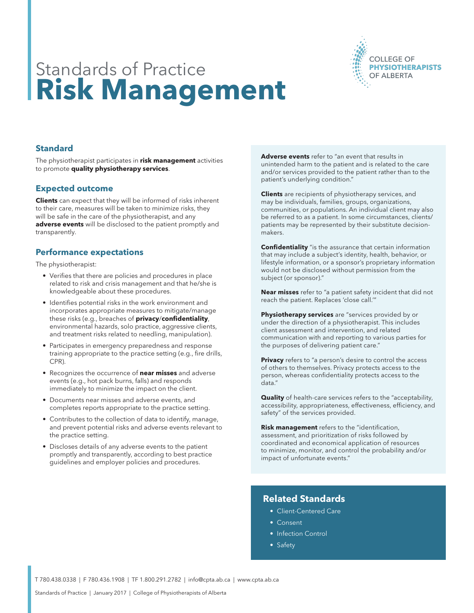

# Standards of Practice **Risk Management**

## **Standard**

The physiotherapist participates in **risk management** activities to promote **quality physiotherapy services**.

#### **Expected outcome**

**Clients** can expect that they will be informed of risks inherent to their care, measures will be taken to minimize risks, they will be safe in the care of the physiotherapist, and any **adverse events** will be disclosed to the patient promptly and transparently.

#### **Performance expectations**

The physiotherapist:

- Verifies that there are policies and procedures in place related to risk and crisis management and that he/she is knowledgeable about these procedures.
- Identifies potential risks in the work environment and incorporates appropriate measures to mitigate/manage these risks (e.g., breaches of **privacy**/**confidentiality**, environmental hazards, solo practice, aggressive clients, and treatment risks related to needling, manipulation).
- Participates in emergency preparedness and response training appropriate to the practice setting (e.g., fire drills, CPR).
- Recognizes the occurrence of **near misses** and adverse events (e.g., hot pack burns, falls) and responds immediately to minimize the impact on the client.
- Documents near misses and adverse events, and completes reports appropriate to the practice setting.
- Contributes to the collection of data to identify, manage, and prevent potential risks and adverse events relevant to the practice setting.
- Discloses details of any adverse events to the patient promptly and transparently, according to best practice guidelines and employer policies and procedures.

**Adverse events** refer to "an event that results in unintended harm to the patient and is related to the care and/or services provided to the patient rather than to the patient's underlying condition."

**Clients** are recipients of physiotherapy services, and may be individuals, families, groups, organizations, communities, or populations. An individual client may also be referred to as a patient. In some circumstances, clients/ patients may be represented by their substitute decisionmakers.

**Confidentiality** "is the assurance that certain information that may include a subject's identity, health, behavior, or lifestyle information, or a sponsor's proprietary information would not be disclosed without permission from the subject (or sponsor)."

**Near misses** refer to "a patient safety incident that did not reach the patient. Replaces 'close call.'"

**Physiotherapy services** are "services provided by or under the direction of a physiotherapist. This includes client assessment and intervention, and related communication with and reporting to various parties for the purposes of delivering patient care."

**Privacy** refers to "a person's desire to control the access of others to themselves. Privacy protects access to the person, whereas confidentiality protects access to the data."

**Quality** of health-care services refers to the "acceptability, accessibility, appropriateness, effectiveness, efficiency, and safety" of the services provided.

**Risk management** refers to the "identification, assessment, and prioritization of risks followed by coordinated and economical application of resources to minimize, monitor, and control the probability and/or impact of unfortunate events."

### **Related Standards**

- Client-Centered Care
- Consent
- Infection Control
- Safety

T 780.438.0338 | F 780.436.1908 | TF 1.800.291.2782 | info@cpta.ab.ca | www.cpta.ab.ca